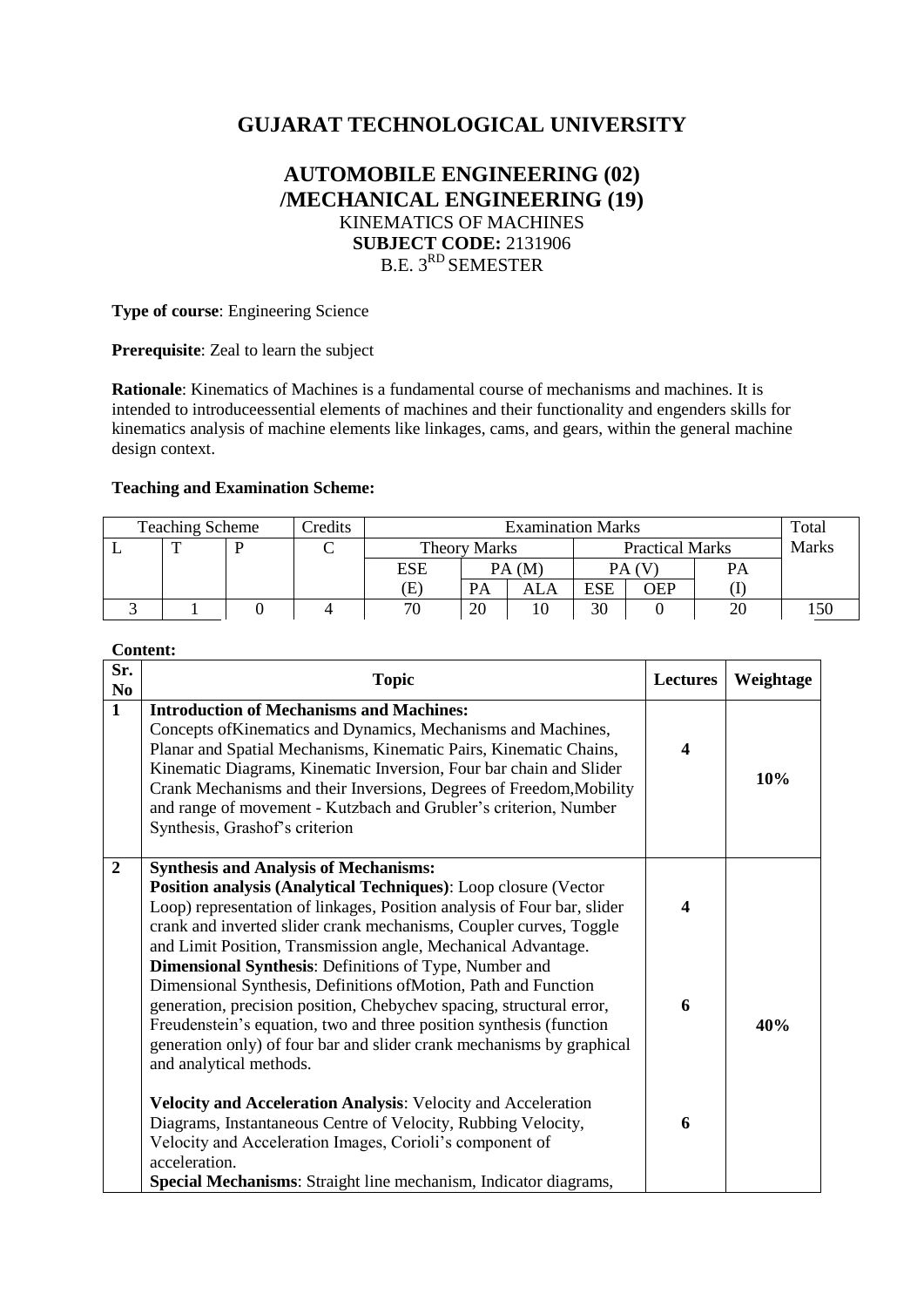# **GUJARAT TECHNOLOGICAL UNIVERSITY**

## **AUTOMOBILE ENGINEERING (02) /MECHANICAL ENGINEERING (19)** KINEMATICS OF MACHINES **SUBJECT CODE:** 2131906 B.E. 3<sup>RD</sup> SEMESTER

**Type of course**: Engineering Science

**Prerequisite**: Zeal to learn the subject

**Rationale**: Kinematics of Machines is a fundamental course of mechanisms and machines. It is intended to introduceessential elements of machines and their functionality and engenders skills for kinematics analysis of machine elements like linkages, cams, and gears, within the general machine design context.

#### **Teaching and Examination Scheme:**

| <b>Teaching Scheme</b> |  | Credits | <b>Examination Marks</b> |     |                     |     |                        | Total |    |              |
|------------------------|--|---------|--------------------------|-----|---------------------|-----|------------------------|-------|----|--------------|
|                        |  |         |                          |     | <b>Theory Marks</b> |     | <b>Practical Marks</b> |       |    | <b>Marks</b> |
|                        |  |         |                          | ESE | PA(M)               |     |                        |       | PA |              |
|                        |  |         |                          | Œ.  | PA                  | ALA | <b>ESE</b>             | OEP   |    |              |
|                        |  |         |                          | 70  | 20                  |     | 30                     |       | 20 |              |

**Content:**

| Sr.<br>N <sub>0</sub> | <b>Topic</b>                                                                                                                                                                                                                                                                                                                                                                                                                                                                                                                                                                                                                                                                                                             | Lectures                     | Weightage |
|-----------------------|--------------------------------------------------------------------------------------------------------------------------------------------------------------------------------------------------------------------------------------------------------------------------------------------------------------------------------------------------------------------------------------------------------------------------------------------------------------------------------------------------------------------------------------------------------------------------------------------------------------------------------------------------------------------------------------------------------------------------|------------------------------|-----------|
| $\mathbf{1}$          | <b>Introduction of Mechanisms and Machines:</b><br>Concepts of Kinematics and Dynamics, Mechanisms and Machines,<br>Planar and Spatial Mechanisms, Kinematic Pairs, Kinematic Chains,<br>Kinematic Diagrams, Kinematic Inversion, Four bar chain and Slider<br>Crank Mechanisms and their Inversions, Degrees of Freedom, Mobility<br>and range of movement - Kutzbach and Grubler's criterion, Number<br>Synthesis, Grashof's criterion                                                                                                                                                                                                                                                                                 | $\overline{\mathbf{4}}$      | 10%       |
| $\overline{2}$        | <b>Synthesis and Analysis of Mechanisms:</b><br>Position analysis (Analytical Techniques): Loop closure (Vector<br>Loop) representation of linkages, Position analysis of Four bar, slider<br>crank and inverted slider crank mechanisms, Coupler curves, Toggle<br>and Limit Position, Transmission angle, Mechanical Advantage.<br><b>Dimensional Synthesis:</b> Definitions of Type, Number and<br>Dimensional Synthesis, Definitions of Motion, Path and Function<br>generation, precision position, Chebychev spacing, structural error,<br>Freudenstein's equation, two and three position synthesis (function<br>generation only) of four bar and slider crank mechanisms by graphical<br>and analytical methods. | $\overline{\mathbf{4}}$<br>6 | 40%       |
|                       | Velocity and Acceleration Analysis: Velocity and Acceleration<br>Diagrams, Instantaneous Centre of Velocity, Rubbing Velocity,<br>Velocity and Acceleration Images, Corioli's component of<br>acceleration.<br>Special Mechanisms: Straight line mechanism, Indicator diagrams,                                                                                                                                                                                                                                                                                                                                                                                                                                          | 6                            |           |